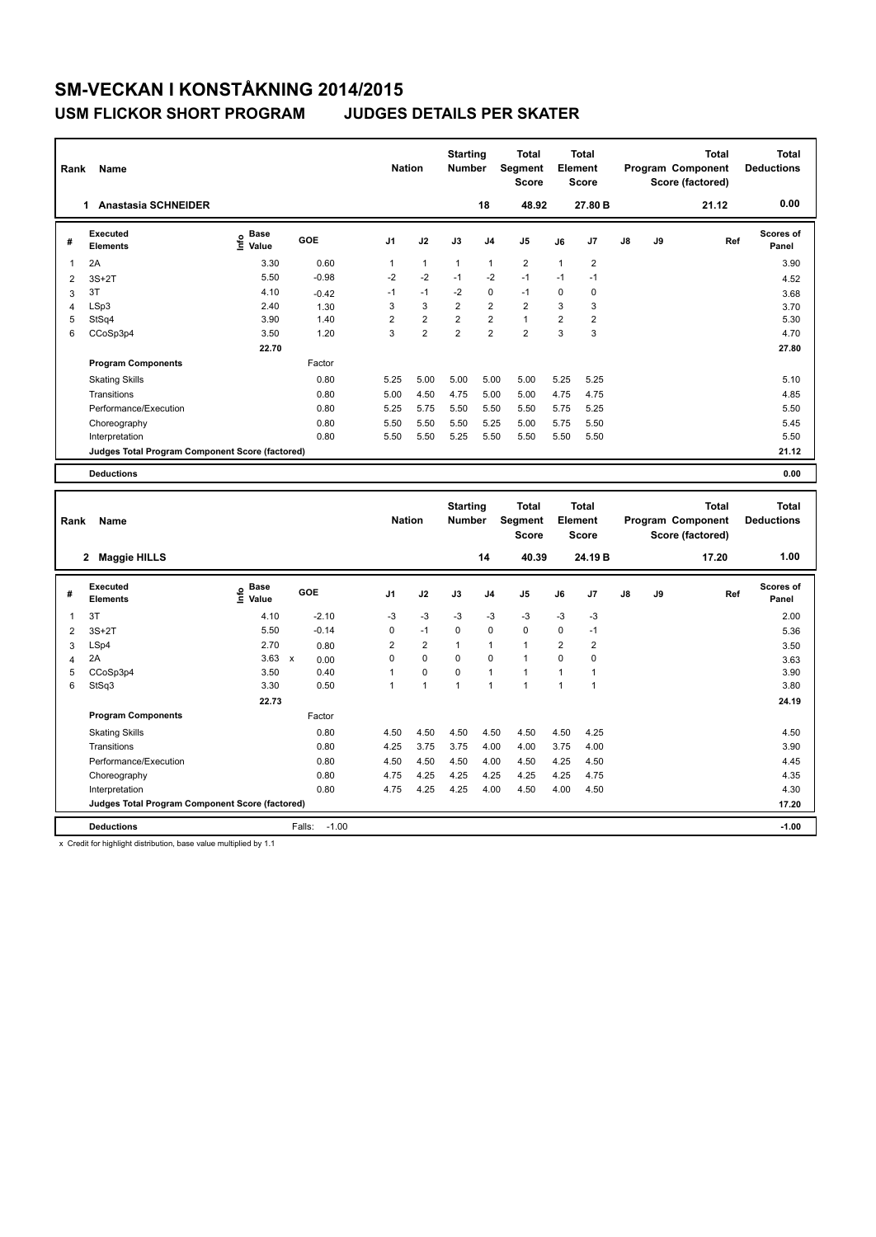### **USM FLICKOR SHORT PROGRAM JUDGES DETAILS PER SKATER**

| Rank                    | Name                                                              |                                  |                                           | <b>Nation</b>  |                | <b>Starting</b><br><b>Number</b> |                | <b>Total</b><br>Segment<br>Score |                | <b>Total</b><br>Element<br><b>Score</b> |    |    | <b>Total</b><br>Program Component<br>Score (factored) | <b>Total</b><br><b>Deductions</b> |
|-------------------------|-------------------------------------------------------------------|----------------------------------|-------------------------------------------|----------------|----------------|----------------------------------|----------------|----------------------------------|----------------|-----------------------------------------|----|----|-------------------------------------------------------|-----------------------------------|
|                         | <b>Anastasia SCHNEIDER</b><br>1.                                  |                                  |                                           |                |                |                                  | 18             | 48.92                            |                | 27.80 B                                 |    |    | 21.12                                                 | 0.00                              |
| #                       | <b>Executed</b><br><b>Elements</b>                                | <b>Base</b><br>e Base<br>⊆ Value | GOE                                       | J <sub>1</sub> | J2             | J3                               | J <sub>4</sub> | J5                               | J6             | J7                                      | J8 | J9 | Ref                                                   | <b>Scores of</b><br>Panel         |
| 1                       | 2A                                                                | 3.30                             | 0.60                                      | $\mathbf{1}$   | $\mathbf{1}$   | 1                                | $\mathbf{1}$   | $\overline{2}$                   | 1              | $\overline{2}$                          |    |    |                                                       | 3.90                              |
| $\overline{2}$          | $3S+2T$                                                           | 5.50                             | $-0.98$                                   | $-2$           | $-2$           | $-1$                             | $-2$           | $-1$                             | $-1$           | $-1$                                    |    |    |                                                       | 4.52                              |
| 3                       | 3T                                                                | 4.10                             | $-0.42$                                   | $-1$           | $-1$           | $-2$                             | $\Omega$       | $-1$                             | $\Omega$       | $\Omega$                                |    |    |                                                       | 3.68                              |
| $\overline{\mathbf{4}}$ | LSp3                                                              | 2.40                             | 1.30                                      | 3              | 3              | $\overline{2}$                   | $\overline{2}$ | $\overline{2}$                   | 3              | 3                                       |    |    |                                                       | 3.70                              |
| 5                       | StSq4                                                             | 3.90                             | 1.40                                      | $\overline{2}$ | $\overline{2}$ | $\overline{2}$                   | $\overline{2}$ | $\mathbf{1}$                     | $\overline{2}$ | $\overline{2}$                          |    |    |                                                       | 5.30                              |
| 6                       | CCoSp3p4                                                          | 3.50                             | 1.20                                      | 3              | $\overline{2}$ | $\overline{2}$                   | $\overline{2}$ | $\overline{2}$                   | 3              | 3                                       |    |    |                                                       | 4.70                              |
|                         |                                                                   | 22.70                            |                                           |                |                |                                  |                |                                  |                |                                         |    |    |                                                       | 27.80                             |
|                         | <b>Program Components</b>                                         |                                  | Factor                                    |                |                |                                  |                |                                  |                |                                         |    |    |                                                       |                                   |
|                         | <b>Skating Skills</b>                                             |                                  | 0.80                                      | 5.25           | 5.00           | 5.00                             | 5.00           | 5.00                             | 5.25           | 5.25                                    |    |    |                                                       | 5.10                              |
|                         | Transitions                                                       |                                  | 0.80                                      | 5.00           | 4.50           | 4.75                             | 5.00           | 5.00                             | 4.75           | 4.75                                    |    |    |                                                       | 4.85                              |
|                         | Performance/Execution                                             |                                  | 0.80                                      | 5.25           | 5.75           | 5.50                             | 5.50           | 5.50                             | 5.75           | 5.25                                    |    |    |                                                       | 5.50                              |
|                         | Choreography                                                      |                                  | 0.80                                      | 5.50           | 5.50           | 5.50                             | 5.25           | 5.00                             | 5.75           | 5.50                                    |    |    |                                                       | 5.45                              |
|                         | Interpretation                                                    |                                  | 0.80                                      | 5.50           | 5.50           | 5.25                             | 5.50           | 5.50                             | 5.50           | 5.50                                    |    |    |                                                       | 5.50                              |
|                         | Judges Total Program Component Score (factored)                   |                                  |                                           |                |                |                                  |                |                                  |                |                                         |    |    |                                                       | 21.12                             |
|                         | <b>Deductions</b>                                                 |                                  |                                           |                |                |                                  |                |                                  |                |                                         |    |    |                                                       | 0.00                              |
|                         |                                                                   |                                  |                                           |                |                |                                  |                |                                  |                |                                         |    |    |                                                       |                                   |
|                         |                                                                   |                                  |                                           |                |                |                                  |                |                                  |                |                                         |    |    |                                                       |                                   |
|                         |                                                                   |                                  |                                           |                |                | <b>Starting</b>                  |                | <b>Total</b>                     |                | <b>Total</b>                            |    |    | <b>Total</b>                                          | <b>Total</b>                      |
| Rank                    | Name                                                              |                                  |                                           | <b>Nation</b>  |                | <b>Number</b>                    |                | Segment                          |                | Element                                 |    |    | Program Component                                     | <b>Deductions</b>                 |
|                         |                                                                   |                                  |                                           |                |                |                                  |                | <b>Score</b>                     |                | <b>Score</b>                            |    |    | Score (factored)                                      |                                   |
|                         | 2 Maggie HILLS                                                    |                                  |                                           |                |                |                                  | 14             | 40.39                            |                | 24.19B                                  |    |    | 17.20                                                 | 1.00                              |
|                         | Executed                                                          | <b>Base</b>                      |                                           |                |                |                                  |                |                                  |                |                                         |    |    |                                                       | Scores of                         |
| #                       | <b>Elements</b>                                                   | ١m٥<br>Value                     | GOE                                       | J <sub>1</sub> | J2             | J3                               | J <sub>4</sub> | J5                               | J6             | J7                                      | J8 | J9 | Ref                                                   | Panel                             |
| 1                       | 3T                                                                | 4.10                             | $-2.10$                                   | $-3$           | $-3$           | $-3$                             | $-3$           | $-3$                             | -3             | $-3$                                    |    |    |                                                       | 2.00                              |
| 2                       | $3S+2T$                                                           | 5.50                             | $-0.14$                                   | 0              | $-1$           | 0                                | $\pmb{0}$      | $\mathbf 0$                      | 0              | $-1$                                    |    |    |                                                       | 5.36                              |
|                         | LSp4                                                              | 2.70                             |                                           | $\overline{2}$ | $\overline{2}$ | 1                                | $\mathbf{1}$   | $\mathbf{1}$                     | $\overline{2}$ | $\overline{2}$                          |    |    |                                                       |                                   |
| 3<br>4                  | 2A                                                                | 3.63                             | 0.80<br>$\boldsymbol{\mathsf{x}}$<br>0.00 | 0              | 0              | 0                                | $\pmb{0}$      | $\mathbf{1}$                     | 0              | 0                                       |    |    |                                                       | 3.50                              |
| 5                       | CCoSp3p4                                                          | 3.50                             | 0.40                                      | 1              | 0              | 0                                | $\overline{1}$ | $\mathbf{1}$                     | $\mathbf{1}$   | $\mathbf{1}$                            |    |    |                                                       | 3.63<br>3.90                      |
| 6                       | StSq3                                                             | 3.30                             | 0.50                                      | $\mathbf{1}$   | $\mathbf{1}$   | $\mathbf{1}$                     | $\overline{1}$ | $\mathbf{1}$                     | $\mathbf{1}$   | 1                                       |    |    |                                                       | 3.80                              |
|                         |                                                                   | 22.73                            |                                           |                |                |                                  |                |                                  |                |                                         |    |    |                                                       | 24.19                             |
|                         | <b>Program Components</b>                                         |                                  | Factor                                    |                |                |                                  |                |                                  |                |                                         |    |    |                                                       |                                   |
|                         |                                                                   |                                  | 0.80                                      | 4.50           | 4.50           | 4.50                             | 4.50           |                                  | 4.50           | 4.25                                    |    |    |                                                       | 4.50                              |
|                         | <b>Skating Skills</b><br>Transitions                              |                                  | 0.80                                      | 4.25           |                |                                  |                | 4.50                             |                |                                         |    |    |                                                       | 3.90                              |
|                         |                                                                   |                                  |                                           |                | 3.75           | 3.75                             | 4.00           | 4.00                             | 3.75           | 4.00                                    |    |    |                                                       |                                   |
|                         | Performance/Execution                                             |                                  | 0.80                                      | 4.50           | 4.50           | 4.50                             | 4.00           | 4.50                             | 4.25           | 4.50                                    |    |    |                                                       | 4.45                              |
|                         | Choreography                                                      |                                  | 0.80<br>0.80                              | 4.75<br>4.75   | 4.25<br>4.25   | 4.25<br>4.25                     | 4.25<br>4.00   | 4.25<br>4.50                     | 4.25<br>4.00   | 4.75<br>4.50                            |    |    |                                                       | 4.35<br>4.30                      |
|                         | Interpretation<br>Judges Total Program Component Score (factored) |                                  |                                           |                |                |                                  |                |                                  |                |                                         |    |    |                                                       | 17.20                             |
|                         | <b>Deductions</b>                                                 |                                  | $-1.00$<br>Falls:                         |                |                |                                  |                |                                  |                |                                         |    |    |                                                       | $-1.00$                           |

x Credit for highlight distribution, base value multiplied by 1.1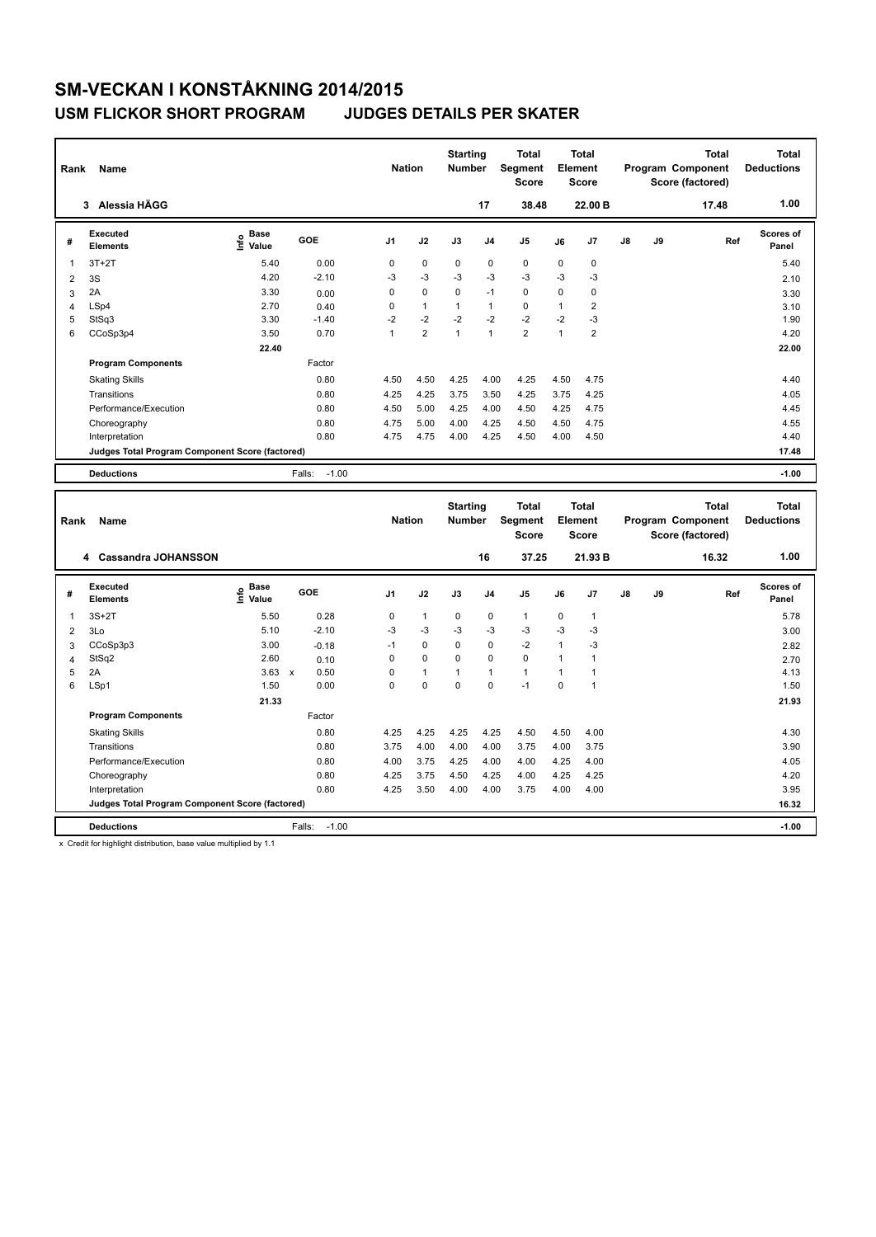### **USM FLICKOR SHORT PROGRAM JUDGES DETAILS PER SKATER**

| Rank           | Name                                            |                                  |                      | <b>Nation</b>  |                         | <b>Starting</b><br><b>Number</b> |              | <b>Total</b><br>Segment<br><b>Score</b> |              | <b>Total</b><br>Element<br><b>Score</b> |    |    | <b>Total</b><br>Program Component<br>Score (factored) | <b>Total</b><br><b>Deductions</b> |
|----------------|-------------------------------------------------|----------------------------------|----------------------|----------------|-------------------------|----------------------------------|--------------|-----------------------------------------|--------------|-----------------------------------------|----|----|-------------------------------------------------------|-----------------------------------|
|                | 3 Alessia HÄGG                                  |                                  |                      |                |                         |                                  | 17           | 38.48                                   |              | 22.00 B                                 |    |    | 17.48                                                 | 1.00                              |
| #              | <b>Executed</b><br><b>Elements</b>              | <b>Base</b><br>e Base<br>⊆ Value | GOE                  | J <sub>1</sub> | J2                      | J3                               | J4           | J5                                      | J6           | J7                                      | J8 | J9 | Ref                                                   | Scores of<br>Panel                |
| 1              | $3T+2T$                                         | 5.40                             | 0.00                 | 0              | 0                       | 0                                | $\mathbf 0$  | $\mathbf 0$                             | 0            | 0                                       |    |    |                                                       | 5.40                              |
| $\overline{2}$ | 3S                                              | 4.20                             | $-2.10$              | $-3$           | $-3$                    | $-3$                             | $-3$         | $-3$                                    | $-3$         | $-3$                                    |    |    |                                                       | 2.10                              |
| 3              | 2A                                              | 3.30                             | 0.00                 | 0              | 0                       | 0                                | $-1$         | $\mathbf 0$                             | 0            | 0                                       |    |    |                                                       | 3.30                              |
| 4              | LSp4                                            | 2.70                             | 0.40                 | 0              | $\mathbf{1}$            | $\mathbf{1}$                     | $\mathbf{1}$ | $\mathbf 0$                             | $\mathbf{1}$ | $\overline{\mathbf{c}}$                 |    |    |                                                       | 3.10                              |
| 5              | StSq3                                           | 3.30                             | $-1.40$              | $-2$           | $-2$                    | $-2$                             | $-2$         | $-2$                                    | $-2$         | $-3$                                    |    |    |                                                       | 1.90                              |
| 6              | CCoSp3p4                                        | 3.50                             | 0.70                 | $\mathbf{1}$   | $\overline{\mathbf{c}}$ | $\mathbf{1}$                     | $\mathbf{1}$ | $\overline{2}$                          | $\mathbf{1}$ | $\overline{2}$                          |    |    |                                                       | 4.20                              |
|                |                                                 | 22.40                            |                      |                |                         |                                  |              |                                         |              |                                         |    |    |                                                       | 22.00                             |
|                | <b>Program Components</b>                       |                                  | Factor               |                |                         |                                  |              |                                         |              |                                         |    |    |                                                       |                                   |
|                | <b>Skating Skills</b>                           |                                  | 0.80                 | 4.50           | 4.50                    | 4.25                             | 4.00         | 4.25                                    | 4.50         | 4.75                                    |    |    |                                                       | 4.40                              |
|                | Transitions                                     |                                  | 0.80                 | 4.25           | 4.25                    | 3.75                             | 3.50         | 4.25                                    | 3.75         | 4.25                                    |    |    |                                                       | 4.05                              |
|                | Performance/Execution                           |                                  | 0.80                 | 4.50           | 5.00                    | 4.25                             | 4.00         | 4.50                                    | 4.25         | 4.75                                    |    |    |                                                       | 4.45                              |
|                | Choreography                                    |                                  | 0.80                 | 4.75           | 5.00                    | 4.00                             | 4.25         | 4.50                                    | 4.50         | 4.75                                    |    |    |                                                       | 4.55                              |
|                | Interpretation                                  |                                  | 0.80                 | 4.75           | 4.75                    | 4.00                             | 4.25         | 4.50                                    | 4.00         | 4.50                                    |    |    |                                                       | 4.40                              |
|                | Judges Total Program Component Score (factored) |                                  |                      |                |                         |                                  |              |                                         |              |                                         |    |    |                                                       | 17.48                             |
|                | <b>Deductions</b>                               |                                  | $-1.00$<br>Falls:    |                |                         |                                  |              |                                         |              |                                         |    |    |                                                       | $-1.00$                           |
|                |                                                 |                                  |                      |                |                         |                                  |              |                                         |              |                                         |    |    |                                                       |                                   |
|                |                                                 |                                  |                      |                |                         |                                  |              |                                         |              |                                         |    |    |                                                       |                                   |
| Rank           | Name                                            |                                  |                      | <b>Nation</b>  |                         | <b>Starting</b><br>Number        |              | <b>Total</b><br>Segment<br><b>Score</b> |              | <b>Total</b><br>Element<br><b>Score</b> |    |    | <b>Total</b><br>Program Component<br>Score (factored) | <b>Total</b><br><b>Deductions</b> |
|                | 4 Cassandra JOHANSSON                           |                                  |                      |                |                         |                                  | 16           | 37.25                                   |              | 21.93 B                                 |    |    | 16.32                                                 | 1.00                              |
| #              | <b>Executed</b>                                 |                                  | GOE                  | J <sub>1</sub> | J2                      | J3                               | J4           | J5                                      | J6           | J7                                      | J8 | J9 | Ref                                                   | Scores of                         |
|                | <b>Elements</b>                                 | e Base<br>E Value                |                      |                |                         |                                  |              |                                         |              |                                         |    |    |                                                       | Panel                             |
| 1              | $3S+2T$                                         | 5.50                             | 0.28                 | 0              | $\mathbf{1}$            | 0                                | 0            | $\mathbf{1}$                            | 0            | 1                                       |    |    |                                                       | 5.78                              |
| $\overline{2}$ | 3Lo                                             | 5.10                             | $-2.10$              | -3             | $-3$                    | $-3$                             | $-3$         | -3                                      | -3           | $-3$                                    |    |    |                                                       | 3.00                              |
| 3              | CCoSp3p3                                        | 3.00                             | $-0.18$              | $-1$           | 0                       | 0                                | $\mathbf 0$  | $-2$                                    | $\mathbf{1}$ | $-3$                                    |    |    |                                                       | 2.82                              |
| $\overline{4}$ | StSq2                                           | 2.60                             | 0.10                 | 0              | $\pmb{0}$               | 0                                | $\pmb{0}$    | $\pmb{0}$                               | $\mathbf{1}$ | $\mathbf{1}$                            |    |    |                                                       | 2.70                              |
| 5              | 2A                                              | 3.63                             | $\pmb{\chi}$<br>0.50 | 0              | $\mathbf{1}$            | $\mathbf{1}$                     | $\mathbf{1}$ | $\mathbf{1}$                            | $\mathbf{1}$ | $\mathbf{1}$                            |    |    |                                                       | 4.13                              |
| 6              | LSp1                                            | 1.50                             | 0.00                 | 0              | $\Omega$                | $\Omega$                         | $\Omega$     | $-1$                                    | $\Omega$     | $\mathbf{1}$                            |    |    |                                                       | 1.50                              |
|                | <b>Program Components</b>                       | 21.33                            | Factor               |                |                         |                                  |              |                                         |              |                                         |    |    |                                                       | 21.93                             |
|                | <b>Skating Skills</b>                           |                                  | 0.80                 | 4.25           | 4.25                    | 4.25                             | 4.25         | 4.50                                    | 4.50         | 4.00                                    |    |    |                                                       | 4.30                              |
|                | Transitions                                     |                                  | 0.80                 | 3.75           | 4.00                    | 4.00                             | 4.00         | 3.75                                    | 4.00         | 3.75                                    |    |    |                                                       | 3.90                              |
|                | Performance/Execution                           |                                  | 0.80                 | 4.00           | 3.75                    | 4.25                             | 4.00         | 4.00                                    | 4.25         | 4.00                                    |    |    |                                                       | 4.05                              |
|                |                                                 |                                  | 0.80                 | 4.25           | 3.75                    | 4.50                             | 4.25         | 4.00                                    | 4.25         | 4.25                                    |    |    |                                                       | 4.20                              |
|                | Choreography<br>Interpretation                  |                                  | 0.80                 | 4.25           | 3.50                    | 4.00                             | 4.00         | 3.75                                    | 4.00         | 4.00                                    |    |    |                                                       | 3.95                              |
|                | Judges Total Program Component Score (factored) |                                  |                      |                |                         |                                  |              |                                         |              |                                         |    |    |                                                       | 16.32                             |

x Credit for highlight distribution, base value multiplied by 1.1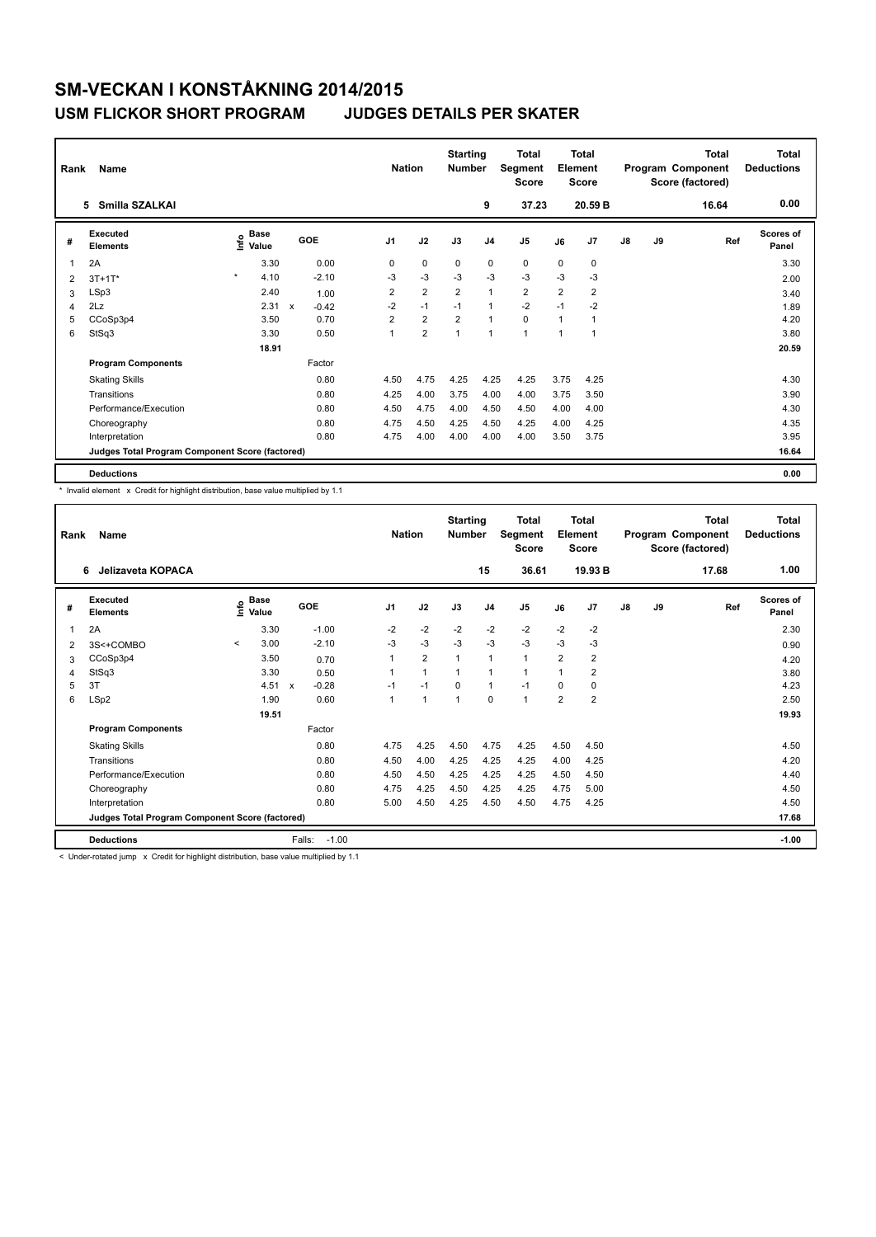| Rank           | Name                                            | <b>Nation</b>                |                                      | <b>Starting</b><br><b>Number</b> |                | <b>Total</b><br>Segment<br><b>Score</b> |                | Total<br>Element<br><b>Score</b> |                |                | <b>Total</b><br>Program Component<br>Score (factored) | <b>Total</b><br><b>Deductions</b> |       |                    |
|----------------|-------------------------------------------------|------------------------------|--------------------------------------|----------------------------------|----------------|-----------------------------------------|----------------|----------------------------------|----------------|----------------|-------------------------------------------------------|-----------------------------------|-------|--------------------|
|                | Smilla SZALKAI<br>5.                            |                              |                                      |                                  |                |                                         | 9              | 37.23                            |                | 20.59 B        |                                                       |                                   | 16.64 | 0.00               |
| #              | Executed<br><b>Elements</b>                     | <b>Base</b><br>١nf٥<br>Value | GOE                                  | J <sub>1</sub>                   | J2             | J3                                      | J <sub>4</sub> | J <sub>5</sub>                   | J6             | J <sub>7</sub> | $\mathsf{J}8$                                         | J9                                | Ref   | Scores of<br>Panel |
| $\overline{1}$ | 2A                                              | 3.30                         | 0.00                                 | 0                                | $\mathbf 0$    | $\mathbf 0$                             | $\mathbf 0$    | 0                                | 0              | 0              |                                                       |                                   |       | 3.30               |
| 2              | $3T+1T^*$                                       | $\star$<br>4.10              | $-2.10$                              | -3                               | $-3$           | $-3$                                    | $-3$           | $-3$                             | $-3$           | $-3$           |                                                       |                                   |       | 2.00               |
| 3              | LSp3                                            | 2.40                         | 1.00                                 | $\overline{2}$                   | $\overline{2}$ | $\overline{2}$                          | $\mathbf{1}$   | $\overline{2}$                   | $\overline{2}$ | $\overline{2}$ |                                                       |                                   |       | 3.40               |
| 4              | 2Lz                                             | 2.31                         | $\boldsymbol{\mathsf{x}}$<br>$-0.42$ | $-2$                             | $-1$           | $-1$                                    | $\mathbf{1}$   | $-2$                             | $-1$           | $-2$           |                                                       |                                   |       | 1.89               |
| 5              | CCoSp3p4                                        | 3.50                         | 0.70                                 | $\overline{2}$                   | $\overline{2}$ | $\overline{2}$                          | $\mathbf{1}$   | $\mathbf 0$                      | 1              | 1              |                                                       |                                   |       | 4.20               |
| 6              | StSq3                                           | 3.30                         | 0.50                                 |                                  | $\overline{2}$ | $\overline{A}$                          | $\mathbf{1}$   | 1                                | 1              | 1              |                                                       |                                   |       | 3.80               |
|                |                                                 | 18.91                        |                                      |                                  |                |                                         |                |                                  |                |                |                                                       |                                   |       | 20.59              |
|                | <b>Program Components</b>                       |                              | Factor                               |                                  |                |                                         |                |                                  |                |                |                                                       |                                   |       |                    |
|                | <b>Skating Skills</b>                           |                              | 0.80                                 | 4.50                             | 4.75           | 4.25                                    | 4.25           | 4.25                             | 3.75           | 4.25           |                                                       |                                   |       | 4.30               |
|                | Transitions                                     |                              | 0.80                                 | 4.25                             | 4.00           | 3.75                                    | 4.00           | 4.00                             | 3.75           | 3.50           |                                                       |                                   |       | 3.90               |
|                | Performance/Execution                           |                              | 0.80                                 | 4.50                             | 4.75           | 4.00                                    | 4.50           | 4.50                             | 4.00           | 4.00           |                                                       |                                   |       | 4.30               |
|                | Choreography                                    |                              | 0.80                                 | 4.75                             | 4.50           | 4.25                                    | 4.50           | 4.25                             | 4.00           | 4.25           |                                                       |                                   |       | 4.35               |
|                | Interpretation                                  |                              | 0.80                                 | 4.75                             | 4.00           | 4.00                                    | 4.00           | 4.00                             | 3.50           | 3.75           |                                                       |                                   |       | 3.95               |
|                | Judges Total Program Component Score (factored) |                              |                                      |                                  |                |                                         |                |                                  |                |                |                                                       |                                   |       | 16.64              |
|                | <b>Deductions</b>                               |                              |                                      |                                  |                |                                         |                |                                  |                |                |                                                       |                                   |       | 0.00               |

\* Invalid element x Credit for highlight distribution, base value multiplied by 1.1

| Rank | Name<br>Jelizaveta KOPACA<br>6                  |         |                                  |                         |                | <b>Nation</b>  | <b>Starting</b><br><b>Number</b> |                | <b>Total</b><br>Segment<br><b>Score</b> |                | <b>Total</b><br>Element<br><b>Score</b> |    |    | Total<br>Program Component<br>Score (factored) | <b>Total</b><br><b>Deductions</b> |
|------|-------------------------------------------------|---------|----------------------------------|-------------------------|----------------|----------------|----------------------------------|----------------|-----------------------------------------|----------------|-----------------------------------------|----|----|------------------------------------------------|-----------------------------------|
|      |                                                 |         |                                  |                         |                |                |                                  | 15             | 36.61                                   |                | 19.93 B                                 |    |    | 17.68                                          | 1.00                              |
| #    | Executed<br><b>Elements</b>                     |         | <b>Base</b><br>e Base<br>⊆ Value | GOE                     | J <sub>1</sub> | J2             | J3                               | J <sub>4</sub> | J <sub>5</sub>                          | J6             | J7                                      | J8 | J9 | Ref                                            | Scores of<br>Panel                |
| 1    | 2A                                              |         | 3.30                             | $-1.00$                 | $-2$           | $-2$           | $-2$                             | $-2$           | $-2$                                    | $-2$           | $-2$                                    |    |    |                                                | 2.30                              |
| 2    | 3S<+COMBO                                       | $\prec$ | 3.00                             | $-2.10$                 | $-3$           | $-3$           | $-3$                             | $-3$           | $-3$                                    | -3             | -3                                      |    |    |                                                | 0.90                              |
| 3    | CCoSp3p4                                        |         | 3.50                             | 0.70                    | 1              | $\overline{2}$ | 1                                | $\mathbf{1}$   | $\mathbf{1}$                            | $\overline{2}$ | $\overline{2}$                          |    |    |                                                | 4.20                              |
| 4    | StSq3                                           |         | 3.30                             | 0.50                    | 1              | 1              | 1                                | $\mathbf{1}$   | 1                                       | 1              | 2                                       |    |    |                                                | 3.80                              |
| 5    | 3T                                              |         | 4.51                             | $-0.28$<br>$\mathsf{x}$ | $-1$           | $-1$           | $\Omega$                         | $\mathbf{1}$   | $-1$                                    | 0              | 0                                       |    |    |                                                | 4.23                              |
| 6    | LSp2                                            |         | 1.90                             | 0.60                    | 1              | $\mathbf{1}$   | 1                                | 0              | $\mathbf{1}$                            | $\overline{2}$ | $\overline{2}$                          |    |    |                                                | 2.50                              |
|      |                                                 |         | 19.51                            |                         |                |                |                                  |                |                                         |                |                                         |    |    |                                                | 19.93                             |
|      | <b>Program Components</b>                       |         |                                  | Factor                  |                |                |                                  |                |                                         |                |                                         |    |    |                                                |                                   |
|      | <b>Skating Skills</b>                           |         |                                  | 0.80                    | 4.75           | 4.25           | 4.50                             | 4.75           | 4.25                                    | 4.50           | 4.50                                    |    |    |                                                | 4.50                              |
|      | Transitions                                     |         |                                  | 0.80                    | 4.50           | 4.00           | 4.25                             | 4.25           | 4.25                                    | 4.00           | 4.25                                    |    |    |                                                | 4.20                              |
|      | Performance/Execution                           |         |                                  | 0.80                    | 4.50           | 4.50           | 4.25                             | 4.25           | 4.25                                    | 4.50           | 4.50                                    |    |    |                                                | 4.40                              |
|      | Choreography                                    |         |                                  | 0.80                    | 4.75           | 4.25           | 4.50                             | 4.25           | 4.25                                    | 4.75           | 5.00                                    |    |    |                                                | 4.50                              |
|      | Interpretation                                  |         |                                  | 0.80                    | 5.00           | 4.50           | 4.25                             | 4.50           | 4.50                                    | 4.75           | 4.25                                    |    |    |                                                | 4.50                              |
|      | Judges Total Program Component Score (factored) |         |                                  |                         |                |                |                                  |                |                                         |                |                                         |    |    |                                                | 17.68                             |
|      | <b>Deductions</b>                               |         |                                  | Falls:<br>$-1.00$       |                |                |                                  |                |                                         |                |                                         |    |    |                                                | $-1.00$                           |

< Under-rotated jump x Credit for highlight distribution, base value multiplied by 1.1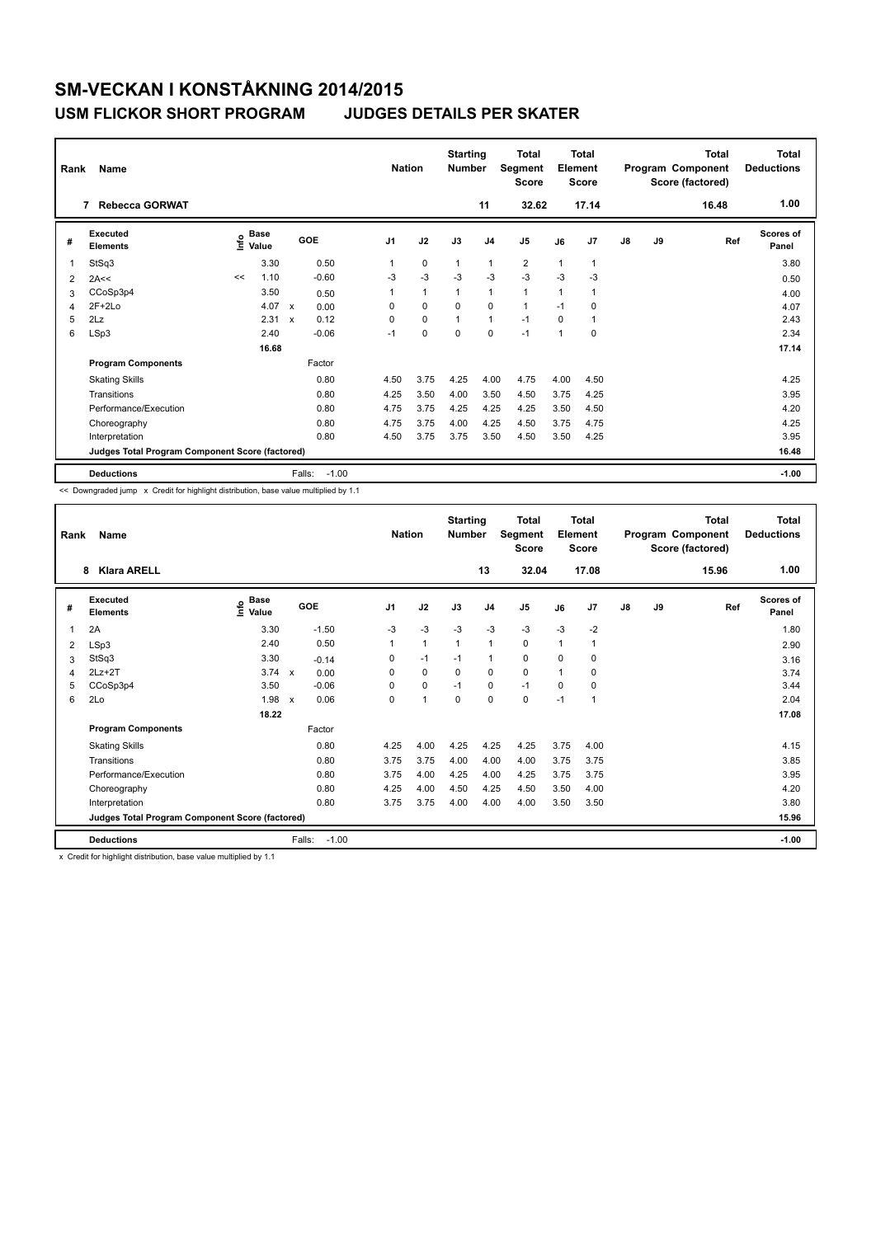### **USM FLICKOR SHORT PROGRAM JUDGES DETAILS PER SKATER**

|                | Name<br>Rank<br><b>Rebecca GORWAT</b><br>7      |      |                      |                           |         | <b>Nation</b> |              | <b>Starting</b><br><b>Number</b> | 11             | <b>Total</b><br>Segment<br><b>Score</b><br>32.62 |                | <b>Total</b><br>Element<br><b>Score</b><br>17.14 |               |    | <b>Total</b><br>Program Component<br>Score (factored)<br>16.48 | <b>Total</b><br><b>Deductions</b><br>1.00 |
|----------------|-------------------------------------------------|------|----------------------|---------------------------|---------|---------------|--------------|----------------------------------|----------------|--------------------------------------------------|----------------|--------------------------------------------------|---------------|----|----------------------------------------------------------------|-------------------------------------------|
| #              | Executed<br><b>Elements</b>                     | ١nf٥ | <b>Base</b><br>Value |                           | GOE     | J1            | J2           | J3                               | J <sub>4</sub> | J <sub>5</sub>                                   | J6             | J7                                               | $\mathsf{J}8$ | J9 | Ref                                                            | <b>Scores of</b><br>Panel                 |
| -1             | StSq3                                           |      | 3.30                 |                           | 0.50    | 1             | $\mathbf 0$  | $\mathbf{1}$                     | $\overline{1}$ | $\overline{2}$                                   | $\mathbf{1}$   | 1                                                |               |    |                                                                | 3.80                                      |
| $\overline{2}$ | 2A<<                                            | <<   | 1.10                 |                           | $-0.60$ | $-3$          | $-3$         | $-3$                             | $-3$           | $-3$                                             | $-3$           | $-3$                                             |               |    |                                                                | 0.50                                      |
| 3              | CCoSp3p4                                        |      | 3.50                 |                           | 0.50    | 1             | $\mathbf{1}$ | $\mathbf{1}$                     | $\overline{1}$ | $\mathbf{1}$                                     | $\overline{1}$ |                                                  |               |    |                                                                | 4.00                                      |
| 4              | $2F+2Lo$                                        |      | 4.07                 | $\mathsf{x}$              | 0.00    | 0             | $\mathbf 0$  | $\Omega$                         | $\Omega$       | $\mathbf{1}$                                     | $-1$           | $\Omega$                                         |               |    |                                                                | 4.07                                      |
| 5              | 2Lz                                             |      | 2.31                 | $\boldsymbol{\mathsf{x}}$ | 0.12    | 0             | $\mathbf 0$  | $\mathbf{1}$                     | $\overline{1}$ | $-1$                                             | $\Omega$       |                                                  |               |    |                                                                | 2.43                                      |
| 6              | LSp3                                            |      | 2.40                 |                           | $-0.06$ | $-1$          | 0            | $\mathbf 0$                      | $\mathbf 0$    | $-1$                                             | $\overline{1}$ | $\mathbf 0$                                      |               |    |                                                                | 2.34                                      |
|                |                                                 |      | 16.68                |                           |         |               |              |                                  |                |                                                  |                |                                                  |               |    |                                                                | 17.14                                     |
|                | <b>Program Components</b>                       |      |                      |                           | Factor  |               |              |                                  |                |                                                  |                |                                                  |               |    |                                                                |                                           |
|                | <b>Skating Skills</b>                           |      |                      |                           | 0.80    | 4.50          | 3.75         | 4.25                             | 4.00           | 4.75                                             | 4.00           | 4.50                                             |               |    |                                                                | 4.25                                      |
|                | Transitions                                     |      |                      |                           | 0.80    | 4.25          | 3.50         | 4.00                             | 3.50           | 4.50                                             | 3.75           | 4.25                                             |               |    |                                                                | 3.95                                      |
|                | Performance/Execution                           |      |                      |                           | 0.80    | 4.75          | 3.75         | 4.25                             | 4.25           | 4.25                                             | 3.50           | 4.50                                             |               |    |                                                                | 4.20                                      |
|                | Choreography                                    |      |                      |                           | 0.80    | 4.75          | 3.75         | 4.00                             | 4.25           | 4.50                                             | 3.75           | 4.75                                             |               |    |                                                                | 4.25                                      |
|                | Interpretation                                  |      |                      |                           | 0.80    | 4.50          | 3.75         | 3.75                             | 3.50           | 4.50                                             | 3.50           | 4.25                                             |               |    |                                                                | 3.95                                      |
|                | Judges Total Program Component Score (factored) |      |                      |                           |         |               |              |                                  |                |                                                  |                |                                                  |               |    |                                                                | 16.48                                     |
|                | <b>Deductions</b>                               |      |                      | Falls:                    | $-1.00$ |               |              |                                  |                |                                                  |                |                                                  |               |    |                                                                | $-1.00$                                   |

<< Downgraded jump x Credit for highlight distribution, base value multiplied by 1.1

| Rank | Name                                            |                              |                   | <b>Nation</b>  |              | <b>Starting</b><br><b>Number</b> |                | <b>Total</b><br>Segment<br>Score |      | <b>Total</b><br>Element<br><b>Score</b> |    |    | <b>Total</b><br>Program Component<br>Score (factored) | Total<br><b>Deductions</b> |
|------|-------------------------------------------------|------------------------------|-------------------|----------------|--------------|----------------------------------|----------------|----------------------------------|------|-----------------------------------------|----|----|-------------------------------------------------------|----------------------------|
|      | <b>Klara ARELL</b><br>8                         |                              |                   |                |              |                                  | 13             | 32.04                            |      | 17.08                                   |    |    | 15.96                                                 | 1.00                       |
| #    | <b>Executed</b><br><b>Elements</b>              | <b>Base</b><br>١nfo<br>Value | <b>GOE</b>        | J <sub>1</sub> | J2           | J3                               | J <sub>4</sub> | J <sub>5</sub>                   | J6   | J <sub>7</sub>                          | J8 | J9 | Ref                                                   | <b>Scores of</b><br>Panel  |
| 1    | 2A                                              | 3.30                         | $-1.50$           | $-3$           | $-3$         | $-3$                             | $-3$           | $-3$                             | $-3$ | $-2$                                    |    |    |                                                       | 1.80                       |
| 2    | LSp3                                            | 2.40                         | 0.50              | $\overline{1}$ | $\mathbf{1}$ | $\mathbf{1}$                     | $\mathbf{1}$   | 0                                | 1    | $\overline{1}$                          |    |    |                                                       | 2.90                       |
| 3    | StSq3                                           | 3.30                         | $-0.14$           | 0              | $-1$         | $-1$                             | $\mathbf{1}$   | 0                                | 0    | 0                                       |    |    |                                                       | 3.16                       |
| 4    | $2Lz+2T$                                        | $3.74 \times$                | 0.00              | 0              | 0            | 0                                | 0              | 0                                | 1    | 0                                       |    |    |                                                       | 3.74                       |
| 5    | CCoSp3p4                                        | 3.50                         | $-0.06$           | $\Omega$       | 0            | $-1$                             | 0              | $-1$                             | 0    | 0                                       |    |    |                                                       | 3.44                       |
| 6    | 2Lo                                             | $1.98 \times$                | 0.06              | $\Omega$       | $\mathbf{1}$ | $\Omega$                         | 0              | 0                                | $-1$ | $\overline{1}$                          |    |    |                                                       | 2.04                       |
|      |                                                 | 18.22                        |                   |                |              |                                  |                |                                  |      |                                         |    |    |                                                       | 17.08                      |
|      | <b>Program Components</b>                       |                              | Factor            |                |              |                                  |                |                                  |      |                                         |    |    |                                                       |                            |
|      | <b>Skating Skills</b>                           |                              | 0.80              | 4.25           | 4.00         | 4.25                             | 4.25           | 4.25                             | 3.75 | 4.00                                    |    |    |                                                       | 4.15                       |
|      | Transitions                                     |                              | 0.80              | 3.75           | 3.75         | 4.00                             | 4.00           | 4.00                             | 3.75 | 3.75                                    |    |    |                                                       | 3.85                       |
|      | Performance/Execution                           |                              | 0.80              | 3.75           | 4.00         | 4.25                             | 4.00           | 4.25                             | 3.75 | 3.75                                    |    |    |                                                       | 3.95                       |
|      | Choreography                                    |                              | 0.80              | 4.25           | 4.00         | 4.50                             | 4.25           | 4.50                             | 3.50 | 4.00                                    |    |    |                                                       | 4.20                       |
|      | Interpretation                                  |                              | 0.80              | 3.75           | 3.75         | 4.00                             | 4.00           | 4.00                             | 3.50 | 3.50                                    |    |    |                                                       | 3.80                       |
|      | Judges Total Program Component Score (factored) |                              |                   |                |              |                                  |                |                                  |      |                                         |    |    |                                                       | 15.96                      |
|      | <b>Deductions</b>                               |                              | $-1.00$<br>Falls: |                |              |                                  |                |                                  |      |                                         |    |    |                                                       | $-1.00$                    |

x Credit for highlight distribution, base value multiplied by 1.1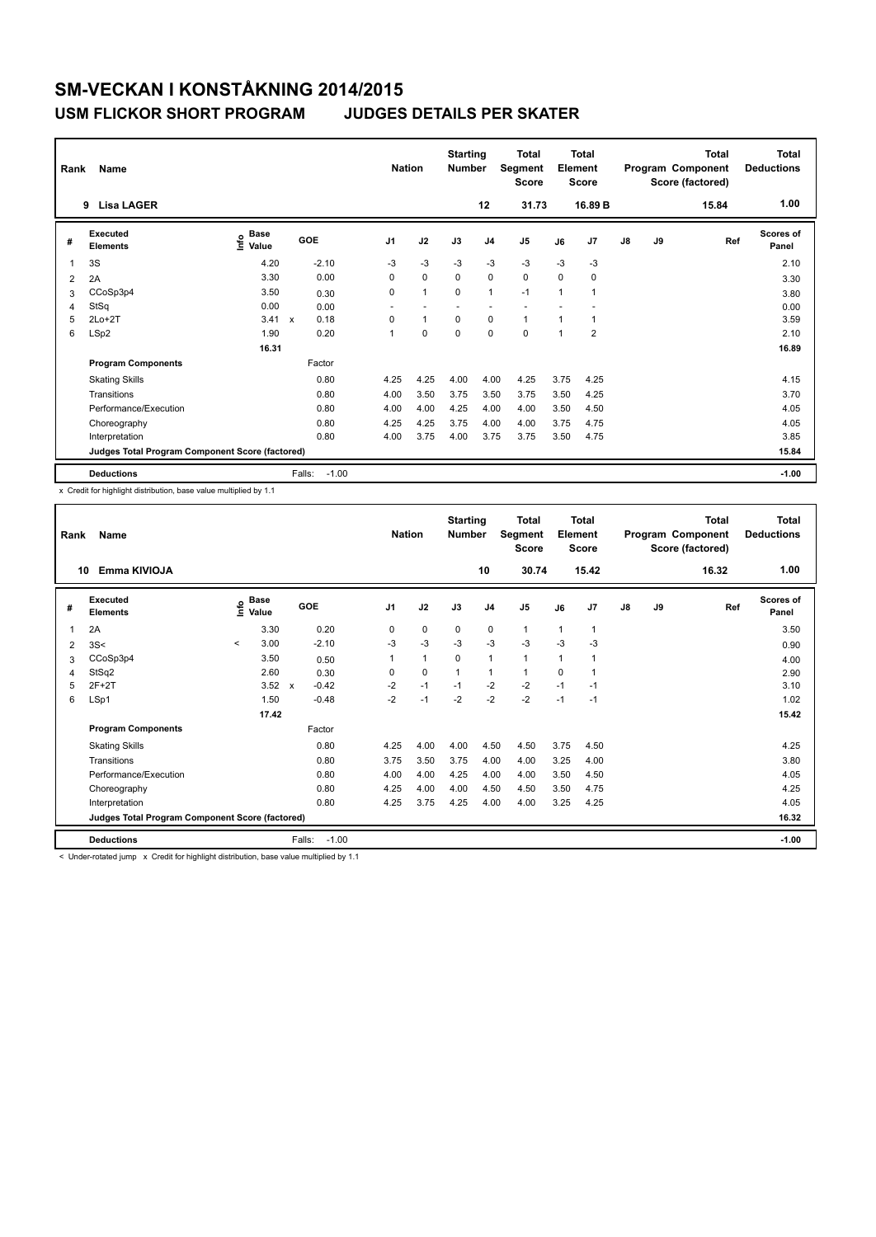| Rank | Name                                            |                              |                                   | <b>Nation</b>            |                | <b>Starting</b><br><b>Number</b> |                | <b>Total</b><br>Segment<br><b>Score</b> |                | <b>Total</b><br>Element<br><b>Score</b> |               |    | <b>Total</b><br>Program Component<br>Score (factored) | Total<br><b>Deductions</b> |
|------|-------------------------------------------------|------------------------------|-----------------------------------|--------------------------|----------------|----------------------------------|----------------|-----------------------------------------|----------------|-----------------------------------------|---------------|----|-------------------------------------------------------|----------------------------|
|      | 9 Lisa LAGER                                    |                              |                                   |                          |                |                                  | 12             | 31.73                                   |                | 16.89 B                                 |               |    | 15.84                                                 | 1.00                       |
| #    | Executed<br><b>Elements</b>                     | <b>Base</b><br>lnfo<br>Value | GOE                               | J <sub>1</sub>           | J2             | J3                               | J <sub>4</sub> | J <sub>5</sub>                          | J6             | J7                                      | $\mathsf{J}8$ | J9 | Ref                                                   | <b>Scores of</b><br>Panel  |
|      | 3S                                              | 4.20                         | $-2.10$                           | $-3$                     | $-3$           | $-3$                             | $-3$           | $-3$                                    | $-3$           | $-3$                                    |               |    |                                                       | 2.10                       |
| 2    | 2A                                              | 3.30                         | 0.00                              | 0                        | $\mathbf 0$    | 0                                | $\mathbf 0$    | $\mathbf 0$                             | $\Omega$       | 0                                       |               |    |                                                       | 3.30                       |
| 3    | CCoSp3p4                                        | 3.50                         | 0.30                              | 0                        | $\overline{1}$ | $\mathbf 0$                      | $\overline{1}$ | $-1$                                    | 1              | 1                                       |               |    |                                                       | 3.80                       |
| 4    | StSq                                            | 0.00                         | 0.00                              | $\overline{\phantom{0}}$ |                |                                  |                |                                         |                |                                         |               |    |                                                       | 0.00                       |
| 5    | $2Lo+2T$                                        | 3.41                         | 0.18<br>$\boldsymbol{\mathsf{x}}$ | 0                        | $\overline{1}$ | $\mathbf 0$                      | $\mathbf 0$    | $\mathbf{1}$                            | 1              | 1                                       |               |    |                                                       | 3.59                       |
| 6    | LSp2                                            | 1.90                         | 0.20                              | 1                        | $\Omega$       | $\Omega$                         | $\mathbf 0$    | $\mathbf 0$                             | $\overline{1}$ | $\overline{2}$                          |               |    |                                                       | 2.10                       |
|      |                                                 | 16.31                        |                                   |                          |                |                                  |                |                                         |                |                                         |               |    |                                                       | 16.89                      |
|      | <b>Program Components</b>                       |                              | Factor                            |                          |                |                                  |                |                                         |                |                                         |               |    |                                                       |                            |
|      | <b>Skating Skills</b>                           |                              | 0.80                              | 4.25                     | 4.25           | 4.00                             | 4.00           | 4.25                                    | 3.75           | 4.25                                    |               |    |                                                       | 4.15                       |
|      | Transitions                                     |                              | 0.80                              | 4.00                     | 3.50           | 3.75                             | 3.50           | 3.75                                    | 3.50           | 4.25                                    |               |    |                                                       | 3.70                       |
|      | Performance/Execution                           |                              | 0.80                              | 4.00                     | 4.00           | 4.25                             | 4.00           | 4.00                                    | 3.50           | 4.50                                    |               |    |                                                       | 4.05                       |
|      | Choreography                                    |                              | 0.80                              | 4.25                     | 4.25           | 3.75                             | 4.00           | 4.00                                    | 3.75           | 4.75                                    |               |    |                                                       | 4.05                       |
|      | Interpretation                                  |                              | 0.80                              | 4.00                     | 3.75           | 4.00                             | 3.75           | 3.75                                    | 3.50           | 4.75                                    |               |    |                                                       | 3.85                       |
|      | Judges Total Program Component Score (factored) |                              |                                   |                          |                |                                  |                |                                         |                |                                         |               |    |                                                       | 15.84                      |
|      | <b>Deductions</b>                               |                              | $-1.00$<br>Falls:                 |                          |                |                                  |                |                                         |                |                                         |               |    |                                                       | $-1.00$                    |

x Credit for highlight distribution, base value multiplied by 1.1

| Rank | Name                                            |         |                      |                         | <b>Nation</b>  |      | <b>Starting</b><br><b>Number</b> |                | <b>Total</b><br>Segment<br><b>Score</b> |                | Total<br>Element<br><b>Score</b> |    |    | <b>Total</b><br>Program Component<br>Score (factored) | <b>Total</b><br><b>Deductions</b> |
|------|-------------------------------------------------|---------|----------------------|-------------------------|----------------|------|----------------------------------|----------------|-----------------------------------------|----------------|----------------------------------|----|----|-------------------------------------------------------|-----------------------------------|
| 10   | Emma KIVIOJA                                    |         |                      |                         |                |      |                                  | 10             | 30.74                                   |                | 15.42                            |    |    | 16.32                                                 | 1.00                              |
| #    | Executed<br><b>Elements</b>                     | lnfo    | <b>Base</b><br>Value | GOE                     | J <sub>1</sub> | J2   | J3                               | J <sub>4</sub> | J <sub>5</sub>                          | J6             | J7                               | J8 | J9 | Ref                                                   | Scores of<br>Panel                |
| 1    | 2A                                              |         | 3.30                 | 0.20                    | 0              | 0    | 0                                | 0              | 1                                       | $\mathbf{1}$   | $\mathbf 1$                      |    |    |                                                       | 3.50                              |
| 2    | 3S<                                             | $\prec$ | 3.00                 | $-2.10$                 | $-3$           | $-3$ | $-3$                             | $-3$           | $-3$                                    | $-3$           | -3                               |    |    |                                                       | 0.90                              |
| 3    | CCoSp3p4                                        |         | 3.50                 | 0.50                    | 1              | 1    | $\mathbf 0$                      | $\mathbf{1}$   | $\mathbf{1}$                            | $\overline{1}$ | -1                               |    |    |                                                       | 4.00                              |
| 4    | StSq2                                           |         | 2.60                 | 0.30                    | 0              | 0    | $\mathbf{1}$                     | $\mathbf{1}$   | $\mathbf{1}$                            | 0              | $\overline{1}$                   |    |    |                                                       | 2.90                              |
| 5    | $2F+2T$                                         |         | 3.52                 | $-0.42$<br>$\mathbf{x}$ | $-2$           | $-1$ | $-1$                             | $-2$           | $-2$                                    | $-1$           | $-1$                             |    |    |                                                       | 3.10                              |
| 6    | LSp1                                            |         | 1.50                 | $-0.48$                 | $-2$           | $-1$ | $-2$                             | $-2$           | $-2$                                    | $-1$           | $-1$                             |    |    |                                                       | 1.02                              |
|      |                                                 |         | 17.42                |                         |                |      |                                  |                |                                         |                |                                  |    |    |                                                       | 15.42                             |
|      | <b>Program Components</b>                       |         |                      | Factor                  |                |      |                                  |                |                                         |                |                                  |    |    |                                                       |                                   |
|      | <b>Skating Skills</b>                           |         |                      | 0.80                    | 4.25           | 4.00 | 4.00                             | 4.50           | 4.50                                    | 3.75           | 4.50                             |    |    |                                                       | 4.25                              |
|      | Transitions                                     |         |                      | 0.80                    | 3.75           | 3.50 | 3.75                             | 4.00           | 4.00                                    | 3.25           | 4.00                             |    |    |                                                       | 3.80                              |
|      | Performance/Execution                           |         |                      | 0.80                    | 4.00           | 4.00 | 4.25                             | 4.00           | 4.00                                    | 3.50           | 4.50                             |    |    |                                                       | 4.05                              |
|      | Choreography                                    |         |                      | 0.80                    | 4.25           | 4.00 | 4.00                             | 4.50           | 4.50                                    | 3.50           | 4.75                             |    |    |                                                       | 4.25                              |
|      | Interpretation                                  |         |                      | 0.80                    | 4.25           | 3.75 | 4.25                             | 4.00           | 4.00                                    | 3.25           | 4.25                             |    |    |                                                       | 4.05                              |
|      | Judges Total Program Component Score (factored) |         |                      |                         |                |      |                                  |                |                                         |                |                                  |    |    |                                                       | 16.32                             |
|      | <b>Deductions</b>                               |         |                      | Falls:<br>$-1.00$       |                |      |                                  |                |                                         |                |                                  |    |    |                                                       | $-1.00$                           |

< Under-rotated jump x Credit for highlight distribution, base value multiplied by 1.1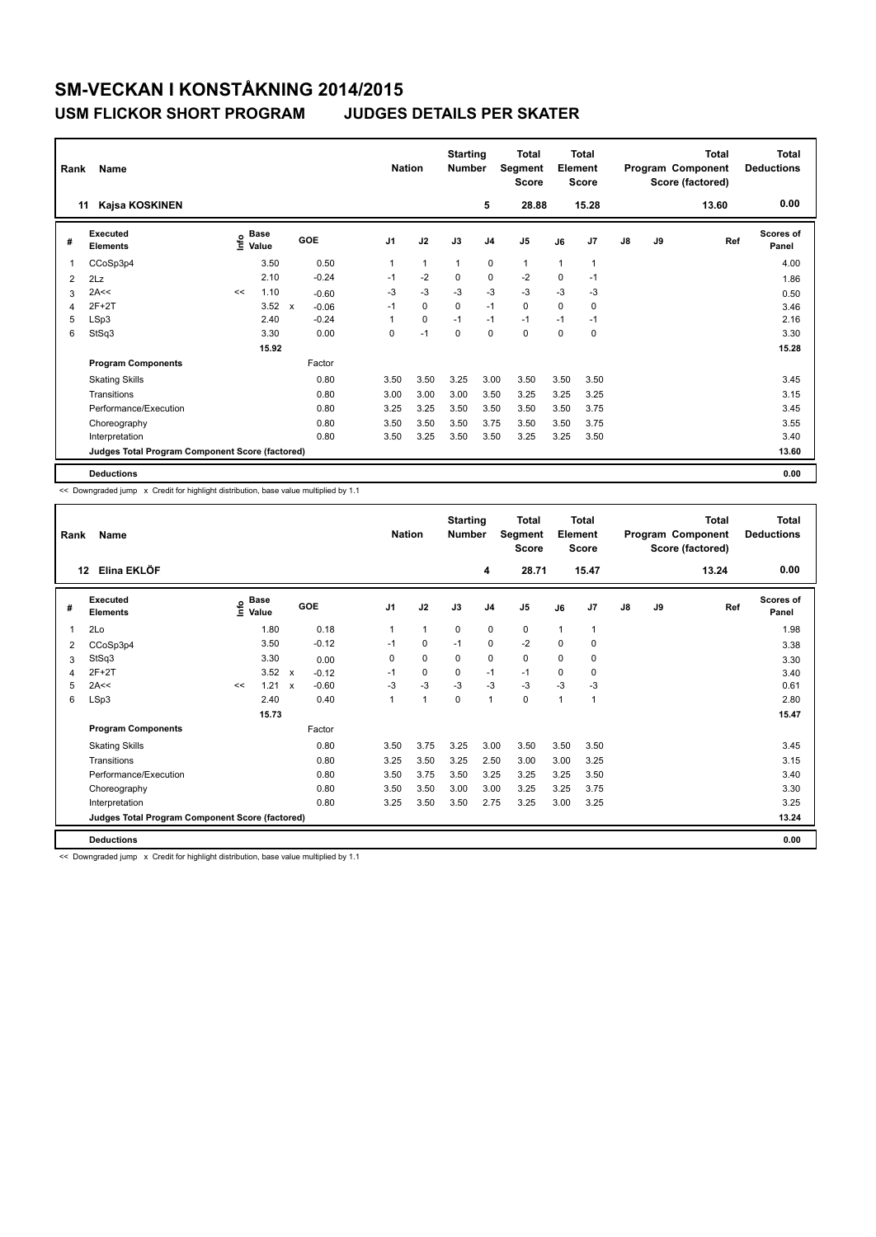| Rank | Name<br><b>Kajsa KOSKINEN</b><br>11             |      |                      |              |         |                | <b>Nation</b> | <b>Starting</b><br><b>Number</b> |                | Total<br>Segment<br><b>Score</b> |      | <b>Total</b><br>Element<br><b>Score</b> |               |    | <b>Total</b><br>Program Component<br>Score (factored) | <b>Total</b><br><b>Deductions</b> |
|------|-------------------------------------------------|------|----------------------|--------------|---------|----------------|---------------|----------------------------------|----------------|----------------------------------|------|-----------------------------------------|---------------|----|-------------------------------------------------------|-----------------------------------|
|      |                                                 |      |                      |              |         |                |               |                                  | 5              | 28.88                            |      | 15.28                                   |               |    | 13.60                                                 | 0.00                              |
| #    | Executed<br><b>Elements</b>                     | ١nfo | <b>Base</b><br>Value |              | GOE     | J <sub>1</sub> | J2            | J3                               | J <sub>4</sub> | J <sub>5</sub>                   | J6   | J7                                      | $\mathsf{J}8$ | J9 | Ref                                                   | Scores of<br>Panel                |
| 1    | CCoSp3p4                                        |      | 3.50                 |              | 0.50    | 1              | $\mathbf{1}$  | 1                                | 0              | $\mathbf{1}$                     | 1    | 1                                       |               |    |                                                       | 4.00                              |
| 2    | 2Lz                                             |      | 2.10                 |              | $-0.24$ | $-1$           | $-2$          | 0                                | $\mathbf 0$    | $-2$                             | 0    | $-1$                                    |               |    |                                                       | 1.86                              |
| 3    | 2A<<                                            | <<   | 1.10                 |              | $-0.60$ | $-3$           | $-3$          | $-3$                             | $-3$           | $-3$                             | $-3$ | $-3$                                    |               |    |                                                       | 0.50                              |
| 4    | $2F+2T$                                         |      | 3.52                 | $\mathsf{x}$ | $-0.06$ | $-1$           | $\Omega$      | $\Omega$                         | $-1$           | $\Omega$                         | 0    | $\Omega$                                |               |    |                                                       | 3.46                              |
| 5    | LSp3                                            |      | 2.40                 |              | $-0.24$ | 1              | $\mathbf 0$   | $-1$                             | $-1$           | $-1$                             | $-1$ | $-1$                                    |               |    |                                                       | 2.16                              |
| 6    | StSq3                                           |      | 3.30                 |              | 0.00    | $\Omega$       | $-1$          | $\Omega$                         | $\Omega$       | $\Omega$                         | 0    | $\mathbf 0$                             |               |    |                                                       | 3.30                              |
|      |                                                 |      | 15.92                |              |         |                |               |                                  |                |                                  |      |                                         |               |    |                                                       | 15.28                             |
|      | <b>Program Components</b>                       |      |                      |              | Factor  |                |               |                                  |                |                                  |      |                                         |               |    |                                                       |                                   |
|      | <b>Skating Skills</b>                           |      |                      |              | 0.80    | 3.50           | 3.50          | 3.25                             | 3.00           | 3.50                             | 3.50 | 3.50                                    |               |    |                                                       | 3.45                              |
|      | Transitions                                     |      |                      |              | 0.80    | 3.00           | 3.00          | 3.00                             | 3.50           | 3.25                             | 3.25 | 3.25                                    |               |    |                                                       | 3.15                              |
|      | Performance/Execution                           |      |                      |              | 0.80    | 3.25           | 3.25          | 3.50                             | 3.50           | 3.50                             | 3.50 | 3.75                                    |               |    |                                                       | 3.45                              |
|      | Choreography                                    |      |                      |              | 0.80    | 3.50           | 3.50          | 3.50                             | 3.75           | 3.50                             | 3.50 | 3.75                                    |               |    |                                                       | 3.55                              |
|      | Interpretation                                  |      |                      |              | 0.80    | 3.50           | 3.25          | 3.50                             | 3.50           | 3.25                             | 3.25 | 3.50                                    |               |    |                                                       | 3.40                              |
|      | Judges Total Program Component Score (factored) |      |                      |              |         |                |               |                                  |                |                                  |      |                                         |               |    |                                                       | 13.60                             |
|      | <b>Deductions</b>                               |      |                      |              |         |                |               |                                  |                |                                  |      |                                         |               |    |                                                       | 0.00                              |

<< Downgraded jump x Credit for highlight distribution, base value multiplied by 1.1

| Rank | Name<br>Elina EKLÖF<br>12                       |                   |             |                           |         |                | <b>Nation</b> | <b>Starting</b><br><b>Number</b> |                | <b>Total</b><br>Segment<br><b>Score</b> |          | <b>Total</b><br>Element<br><b>Score</b> |               |    | <b>Total</b><br>Program Component<br>Score (factored) | <b>Total</b><br><b>Deductions</b> |
|------|-------------------------------------------------|-------------------|-------------|---------------------------|---------|----------------|---------------|----------------------------------|----------------|-----------------------------------------|----------|-----------------------------------------|---------------|----|-------------------------------------------------------|-----------------------------------|
|      |                                                 |                   |             |                           |         |                |               |                                  | 4              | 28.71                                   |          | 15.47                                   |               |    | 13.24                                                 | 0.00                              |
| #    | Executed<br><b>Elements</b>                     | e Base<br>⊆ Value | <b>Base</b> |                           | GOE     | J <sub>1</sub> | J2            | J3                               | J <sub>4</sub> | J5                                      | J6       | J7                                      | $\mathsf{J}8$ | J9 | Ref                                                   | Scores of<br>Panel                |
| 1    | 2Lo                                             |                   | 1.80        |                           | 0.18    |                | 1             | $\mathbf 0$                      | $\mathbf 0$    | 0                                       | 1        | $\overline{1}$                          |               |    |                                                       | 1.98                              |
| 2    | CCoSp3p4                                        |                   | 3.50        |                           | $-0.12$ | $-1$           | $\mathbf 0$   | $-1$                             | 0              | $-2$                                    | 0        | 0                                       |               |    |                                                       | 3.38                              |
| 3    | StSq3                                           |                   | 3.30        |                           | 0.00    | $\Omega$       | $\Omega$      | 0                                | $\mathbf 0$    | 0                                       | $\Omega$ | 0                                       |               |    |                                                       | 3.30                              |
| 4    | $2F+2T$                                         |                   | 3.52        | $\boldsymbol{\mathsf{x}}$ | $-0.12$ | $-1$           | 0             | $\Omega$                         | $-1$           | $-1$                                    | $\Omega$ | 0                                       |               |    |                                                       | 3.40                              |
| 5    | 2A<<                                            | <<                | 1.21        | $\mathbf{x}$              | $-0.60$ | $-3$           | $-3$          | $-3$                             | $-3$           | $-3$                                    | $-3$     | $-3$                                    |               |    |                                                       | 0.61                              |
| 6    | LSp3                                            |                   | 2.40        |                           | 0.40    | 1              | 1             | $\mathbf 0$                      | $\mathbf{1}$   | 0                                       | 1        | $\overline{1}$                          |               |    |                                                       | 2.80                              |
|      |                                                 |                   | 15.73       |                           |         |                |               |                                  |                |                                         |          |                                         |               |    |                                                       | 15.47                             |
|      | <b>Program Components</b>                       |                   |             |                           | Factor  |                |               |                                  |                |                                         |          |                                         |               |    |                                                       |                                   |
|      | <b>Skating Skills</b>                           |                   |             |                           | 0.80    | 3.50           | 3.75          | 3.25                             | 3.00           | 3.50                                    | 3.50     | 3.50                                    |               |    |                                                       | 3.45                              |
|      | Transitions                                     |                   |             |                           | 0.80    | 3.25           | 3.50          | 3.25                             | 2.50           | 3.00                                    | 3.00     | 3.25                                    |               |    |                                                       | 3.15                              |
|      | Performance/Execution                           |                   |             |                           | 0.80    | 3.50           | 3.75          | 3.50                             | 3.25           | 3.25                                    | 3.25     | 3.50                                    |               |    |                                                       | 3.40                              |
|      | Choreography                                    |                   |             |                           | 0.80    | 3.50           | 3.50          | 3.00                             | 3.00           | 3.25                                    | 3.25     | 3.75                                    |               |    |                                                       | 3.30                              |
|      | Interpretation                                  |                   |             |                           | 0.80    | 3.25           | 3.50          | 3.50                             | 2.75           | 3.25                                    | 3.00     | 3.25                                    |               |    |                                                       | 3.25                              |
|      | Judges Total Program Component Score (factored) |                   |             |                           |         |                |               |                                  |                |                                         |          |                                         |               |    |                                                       | 13.24                             |
|      | <b>Deductions</b>                               |                   |             |                           |         |                |               |                                  |                |                                         |          |                                         |               |    |                                                       | 0.00                              |

<< Downgraded jump x Credit for highlight distribution, base value multiplied by 1.1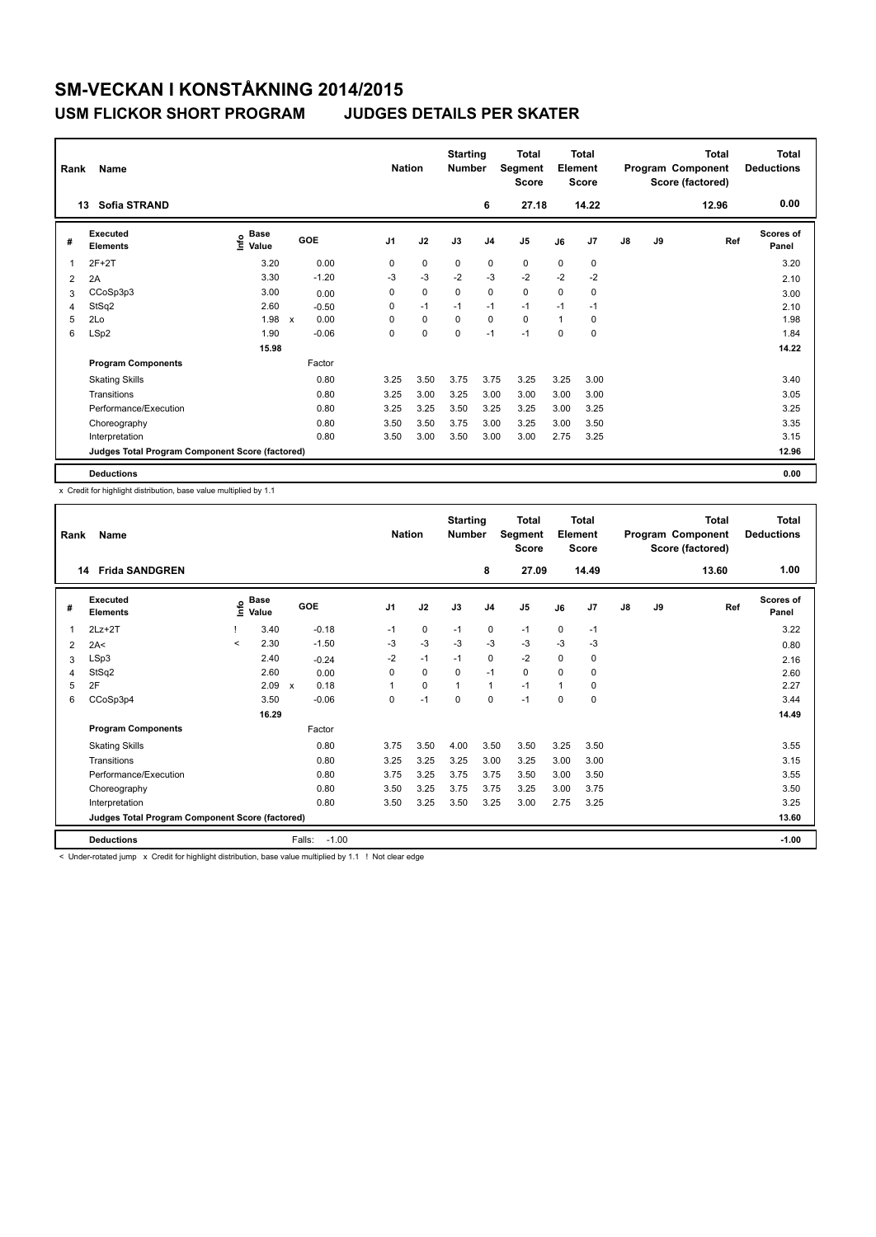### **USM FLICKOR SHORT PROGRAM JUDGES DETAILS PER SKATER**

| Rank           | Name                                            |                           |                      | <b>Nation</b>  |             | <b>Starting</b><br><b>Number</b> |                | <b>Total</b><br>Segment<br><b>Score</b> |              | <b>Total</b><br>Element<br><b>Score</b> |    |    | <b>Total</b><br>Program Component<br>Score (factored) | <b>Total</b><br><b>Deductions</b> |
|----------------|-------------------------------------------------|---------------------------|----------------------|----------------|-------------|----------------------------------|----------------|-----------------------------------------|--------------|-----------------------------------------|----|----|-------------------------------------------------------|-----------------------------------|
|                | Sofia STRAND<br>13                              |                           |                      |                |             |                                  | 6              | 27.18                                   |              | 14.22                                   |    |    | 12.96                                                 | 0.00                              |
| #              | Executed<br><b>Elements</b>                     | Base<br>e Base<br>⊆ Value | GOE                  | J <sub>1</sub> | J2          | J3                               | J <sub>4</sub> | J <sub>5</sub>                          | J6           | J7                                      | J8 | J9 | Ref                                                   | <b>Scores of</b><br>Panel         |
|                | $2F+2T$                                         | 3.20                      | 0.00                 | 0              | 0           | 0                                | 0              | 0                                       | 0            | 0                                       |    |    |                                                       | 3.20                              |
| $\overline{2}$ | 2A                                              | 3.30                      | $-1.20$              | $-3$           | $-3$        | $-2$                             | $-3$           | $-2$                                    | $-2$         | $-2$                                    |    |    |                                                       | 2.10                              |
| 3              | CCoSp3p3                                        | 3.00                      | 0.00                 | 0              | 0           | 0                                | 0              | $\mathbf 0$                             | 0            | 0                                       |    |    |                                                       | 3.00                              |
| 4              | StSq2                                           | 2.60                      | $-0.50$              | 0              | $-1$        | $-1$                             | $-1$           | $-1$                                    | $-1$         | $-1$                                    |    |    |                                                       | 2.10                              |
| 5              | 2Lo                                             | 1.98                      | 0.00<br>$\mathbf{x}$ | $\Omega$       | $\mathbf 0$ | $\Omega$                         | $\mathbf 0$    | $\mathbf 0$                             | $\mathbf{1}$ | 0                                       |    |    |                                                       | 1.98                              |
| 6              | LSp2                                            | 1.90                      | $-0.06$              | $\Omega$       | $\Omega$    | $\Omega$                         | $-1$           | $-1$                                    | $\Omega$     | $\Omega$                                |    |    |                                                       | 1.84                              |
|                |                                                 | 15.98                     |                      |                |             |                                  |                |                                         |              |                                         |    |    |                                                       | 14.22                             |
|                | <b>Program Components</b>                       |                           | Factor               |                |             |                                  |                |                                         |              |                                         |    |    |                                                       |                                   |
|                | <b>Skating Skills</b>                           |                           | 0.80                 | 3.25           | 3.50        | 3.75                             | 3.75           | 3.25                                    | 3.25         | 3.00                                    |    |    |                                                       | 3.40                              |
|                | Transitions                                     |                           | 0.80                 | 3.25           | 3.00        | 3.25                             | 3.00           | 3.00                                    | 3.00         | 3.00                                    |    |    |                                                       | 3.05                              |
|                | Performance/Execution                           |                           | 0.80                 | 3.25           | 3.25        | 3.50                             | 3.25           | 3.25                                    | 3.00         | 3.25                                    |    |    |                                                       | 3.25                              |
|                | Choreography                                    |                           | 0.80                 | 3.50           | 3.50        | 3.75                             | 3.00           | 3.25                                    | 3.00         | 3.50                                    |    |    |                                                       | 3.35                              |
|                | Interpretation                                  |                           | 0.80                 | 3.50           | 3.00        | 3.50                             | 3.00           | 3.00                                    | 2.75         | 3.25                                    |    |    |                                                       | 3.15                              |
|                | Judges Total Program Component Score (factored) |                           |                      |                |             |                                  |                |                                         |              |                                         |    |    |                                                       | 12.96                             |
|                | <b>Deductions</b>                               |                           |                      |                |             |                                  |                |                                         |              |                                         |    |    |                                                       | 0.00                              |

x Credit for highlight distribution, base value multiplied by 1.1

| Rank           | Name                                            |         |                      |                      | <b>Nation</b>  |      | <b>Starting</b><br><b>Number</b> |                | <b>Total</b><br>Segment<br><b>Score</b> |      | Total<br>Element<br><b>Score</b> |    |    | <b>Total</b><br>Program Component<br>Score (factored) | Total<br><b>Deductions</b> |
|----------------|-------------------------------------------------|---------|----------------------|----------------------|----------------|------|----------------------------------|----------------|-----------------------------------------|------|----------------------------------|----|----|-------------------------------------------------------|----------------------------|
| 14             | <b>Frida SANDGREN</b>                           |         |                      |                      |                |      |                                  | 8              | 27.09                                   |      | 14.49                            |    |    | 13.60                                                 | 1.00                       |
| #              | Executed<br><b>Elements</b>                     | ١nfo    | <b>Base</b><br>Value | GOE                  | J <sub>1</sub> | J2   | J3                               | J <sub>4</sub> | J <sub>5</sub>                          | J6   | J <sub>7</sub>                   | J8 | J9 | Ref                                                   | Scores of<br>Panel         |
| 1              | $2Lz+2T$                                        |         | 3.40                 | $-0.18$              | $-1$           | 0    | $-1$                             | $\mathbf 0$    | $-1$                                    | 0    | $-1$                             |    |    |                                                       | 3.22                       |
| $\overline{2}$ | 2A<                                             | $\prec$ | 2.30                 | $-1.50$              | -3             | $-3$ | $-3$                             | $-3$           | $-3$                                    | -3   | -3                               |    |    |                                                       | 0.80                       |
| 3              | LSp3                                            |         | 2.40                 | $-0.24$              | $-2$           | $-1$ | $-1$                             | 0              | $-2$                                    | 0    | 0                                |    |    |                                                       | 2.16                       |
| 4              | StSq2                                           |         | 2.60                 | 0.00                 | 0              | 0    | 0                                | $-1$           | 0                                       | 0    | 0                                |    |    |                                                       | 2.60                       |
| 5              | 2F                                              |         | 2.09                 | 0.18<br>$\mathbf{x}$ |                | 0    | 1                                | 1              | $-1$                                    |      | 0                                |    |    |                                                       | 2.27                       |
| 6              | CCoSp3p4                                        |         | 3.50                 | $-0.06$              | 0              | $-1$ | 0                                | 0              | $-1$                                    | 0    | 0                                |    |    |                                                       | 3.44                       |
|                |                                                 |         | 16.29                |                      |                |      |                                  |                |                                         |      |                                  |    |    |                                                       | 14.49                      |
|                | <b>Program Components</b>                       |         |                      | Factor               |                |      |                                  |                |                                         |      |                                  |    |    |                                                       |                            |
|                | <b>Skating Skills</b>                           |         |                      | 0.80                 | 3.75           | 3.50 | 4.00                             | 3.50           | 3.50                                    | 3.25 | 3.50                             |    |    |                                                       | 3.55                       |
|                | Transitions                                     |         |                      | 0.80                 | 3.25           | 3.25 | 3.25                             | 3.00           | 3.25                                    | 3.00 | 3.00                             |    |    |                                                       | 3.15                       |
|                | Performance/Execution                           |         |                      | 0.80                 | 3.75           | 3.25 | 3.75                             | 3.75           | 3.50                                    | 3.00 | 3.50                             |    |    |                                                       | 3.55                       |
|                | Choreography                                    |         |                      | 0.80                 | 3.50           | 3.25 | 3.75                             | 3.75           | 3.25                                    | 3.00 | 3.75                             |    |    |                                                       | 3.50                       |
|                | Interpretation                                  |         |                      | 0.80                 | 3.50           | 3.25 | 3.50                             | 3.25           | 3.00                                    | 2.75 | 3.25                             |    |    |                                                       | 3.25                       |
|                | Judges Total Program Component Score (factored) |         |                      |                      |                |      |                                  |                |                                         |      |                                  |    |    |                                                       | 13.60                      |
|                | <b>Deductions</b>                               |         |                      | Falls:<br>$-1.00$    |                |      |                                  |                |                                         |      |                                  |    |    |                                                       | $-1.00$                    |

< Under-rotated jump x Credit for highlight distribution, base value multiplied by 1.1 ! Not clear edge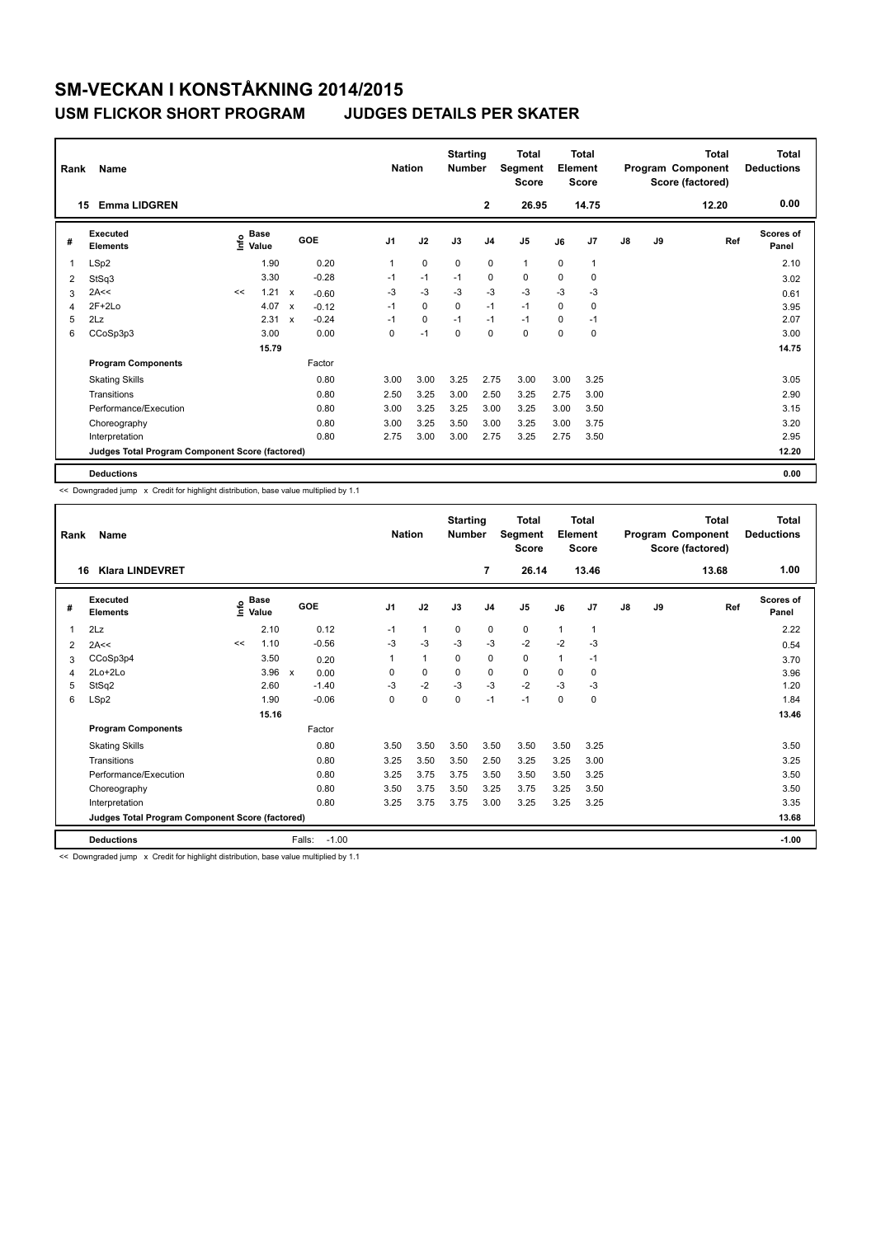### **USM FLICKOR SHORT PROGRAM JUDGES DETAILS PER SKATER**

| Rank           | Name                                            |                                  | <b>Nation</b> |             | <b>Starting</b><br><b>Number</b> | <b>Total</b><br>Segment<br><b>Score</b> | <b>Total</b><br>Element<br><b>Score</b> |             |                |                | <b>Total</b><br>Program Component<br>Score (factored) | Total<br><b>Deductions</b> |               |    |     |                    |
|----------------|-------------------------------------------------|----------------------------------|---------------|-------------|----------------------------------|-----------------------------------------|-----------------------------------------|-------------|----------------|----------------|-------------------------------------------------------|----------------------------|---------------|----|-----|--------------------|
|                | <b>Emma LIDGREN</b><br>15                       |                                  |               |             | $\mathbf{2}$                     | 26.95                                   |                                         | 14.75       |                |                | 12.20                                                 | 0.00                       |               |    |     |                    |
| #              | <b>Executed</b><br><b>Elements</b>              | <b>Base</b><br>e Base<br>⊆ Value |               |             | GOE                              | J <sub>1</sub>                          | J2                                      | J3          | J <sub>4</sub> | J <sub>5</sub> | J6                                                    | J <sub>7</sub>             | $\mathsf{J}8$ | J9 | Ref | Scores of<br>Panel |
| 1              | LSp2                                            |                                  | 1.90          |             | 0.20                             | 1                                       | $\mathbf 0$                             | $\mathbf 0$ | $\mathbf 0$    | $\mathbf{1}$   | $\Omega$                                              | 1                          |               |    |     | 2.10               |
| $\overline{2}$ | StSq3                                           |                                  | 3.30          |             | $-0.28$                          | $-1$                                    | $-1$                                    | $-1$        | 0              | $\mathbf 0$    | 0                                                     | 0                          |               |    |     | 3.02               |
| 3              | 2A<<                                            | <<                               | 1.21          | X           | $-0.60$                          | $-3$                                    | $-3$                                    | $-3$        | $-3$           | $-3$           | $-3$                                                  | $-3$                       |               |    |     | 0.61               |
| 4              | $2F+2Lo$                                        |                                  | 4.07          | X           | $-0.12$                          | $-1$                                    | 0                                       | 0           | $-1$           | $-1$           | 0                                                     | $\mathbf 0$                |               |    |     | 3.95               |
| 5              | 2Lz                                             |                                  | 2.31          | $\mathbf x$ | $-0.24$                          | $-1$                                    | $\mathbf 0$                             | $-1$        | $-1$           | $-1$           | 0                                                     | $-1$                       |               |    |     | 2.07               |
| 6              | CCoSp3p3                                        |                                  | 3.00          |             | 0.00                             | 0                                       | $-1$                                    | $\Omega$    | $\Omega$       | $\mathbf 0$    | $\Omega$                                              | $\Omega$                   |               |    |     | 3.00               |
|                |                                                 |                                  |               |             |                                  |                                         |                                         |             |                |                |                                                       | 14.75                      |               |    |     |                    |
|                | <b>Program Components</b>                       |                                  |               |             | Factor                           |                                         |                                         |             |                |                |                                                       |                            |               |    |     |                    |
|                | <b>Skating Skills</b>                           |                                  |               |             | 0.80                             | 3.00                                    | 3.00                                    | 3.25        | 2.75           | 3.00           | 3.00                                                  | 3.25                       |               |    |     | 3.05               |
|                | Transitions                                     |                                  |               |             | 0.80                             | 2.50                                    | 3.25                                    | 3.00        | 2.50           | 3.25           | 2.75                                                  | 3.00                       |               |    |     | 2.90               |
|                | Performance/Execution                           |                                  |               |             | 0.80                             | 3.00                                    | 3.25                                    | 3.25        | 3.00           | 3.25           | 3.00                                                  | 3.50                       |               |    |     | 3.15               |
|                | Choreography                                    |                                  |               |             | 0.80                             | 3.00                                    | 3.25                                    | 3.50        | 3.00           | 3.25           | 3.00                                                  | 3.75                       |               |    |     | 3.20               |
|                | Interpretation                                  |                                  |               |             | 0.80                             | 2.75                                    | 3.00                                    | 3.00        | 2.75           | 3.25           | 2.75                                                  | 3.50                       |               |    |     | 2.95               |
|                | Judges Total Program Component Score (factored) |                                  |               |             |                                  |                                         |                                         |             |                |                |                                                       |                            |               |    |     | 12.20              |
|                | <b>Deductions</b>                               |                                  |               |             |                                  |                                         |                                         |             |                |                |                                                       |                            |               |    |     | 0.00               |

<< Downgraded jump x Credit for highlight distribution, base value multiplied by 1.1

| Rank                                            | Name                        | <b>Nation</b> | <b>Starting</b><br><b>Number</b> |                                   | <b>Total</b><br>Segment<br><b>Score</b> | Total<br>Element<br><b>Score</b> |             |                |                | <b>Total</b><br>Program Component<br>Score (factored) | Total<br><b>Deductions</b> |    |    |       |                           |
|-------------------------------------------------|-----------------------------|---------------|----------------------------------|-----------------------------------|-----------------------------------------|----------------------------------|-------------|----------------|----------------|-------------------------------------------------------|----------------------------|----|----|-------|---------------------------|
| 16                                              | <b>Klara LINDEVRET</b>      |               |                                  |                                   |                                         |                                  |             | $\overline{7}$ | 26.14          |                                                       | 13.46                      |    |    | 13.68 | 1.00                      |
| #                                               | Executed<br><b>Elements</b> | ١nfo          | <b>Base</b><br>Value             | GOE                               | J <sub>1</sub>                          | J2                               | J3          | J <sub>4</sub> | J <sub>5</sub> | J6                                                    | J7                         | J8 | J9 | Ref   | <b>Scores of</b><br>Panel |
| 1                                               | 2Lz                         |               | 2.10                             | 0.12                              | $-1$                                    | $\mathbf{1}$                     | 0           | $\mathbf 0$    | 0              | $\overline{1}$                                        | $\mathbf{1}$               |    |    |       | 2.22                      |
| 2                                               | 2A<<                        | <<            | 1.10                             | $-0.56$                           | $-3$                                    | $-3$                             | $-3$        | $-3$           | $-2$           | $-2$                                                  | -3                         |    |    |       | 0.54                      |
| 3                                               | CCoSp3p4                    |               | 3.50                             | 0.20                              | 1                                       | 1                                | $\mathbf 0$ | $\mathbf 0$    | 0              | $\overline{1}$                                        | $-1$                       |    |    |       | 3.70                      |
| 4                                               | 2Lo+2Lo                     |               | 3.96                             | 0.00<br>$\boldsymbol{\mathsf{x}}$ | 0                                       | 0                                | $\mathbf 0$ | 0              | 0              | 0                                                     | 0                          |    |    |       | 3.96                      |
| 5                                               | StSq2                       |               | 2.60                             | $-1.40$                           | $-3$                                    | $-2$                             | $-3$        | $-3$           | $-2$           | $-3$                                                  | -3                         |    |    |       | 1.20                      |
| 6                                               | LSp2                        |               | 1.90                             | $-0.06$                           | 0                                       | 0                                | $\mathbf 0$ | $-1$           | $-1$           | $\mathbf 0$                                           | $\mathbf 0$                |    |    |       | 1.84                      |
|                                                 |                             |               | 15.16                            |                                   |                                         |                                  |             |                |                |                                                       |                            |    |    |       | 13.46                     |
|                                                 | <b>Program Components</b>   |               |                                  | Factor                            |                                         |                                  |             |                |                |                                                       |                            |    |    |       |                           |
|                                                 | <b>Skating Skills</b>       |               |                                  | 0.80                              | 3.50                                    | 3.50                             | 3.50        | 3.50           | 3.50           | 3.50                                                  | 3.25                       |    |    |       | 3.50                      |
|                                                 | Transitions                 |               |                                  | 0.80                              | 3.25                                    | 3.50                             | 3.50        | 2.50           | 3.25           | 3.25                                                  | 3.00                       |    |    |       | 3.25                      |
|                                                 | Performance/Execution       |               |                                  | 0.80                              | 3.25                                    | 3.75                             | 3.75        | 3.50           | 3.50           | 3.50                                                  | 3.25                       |    |    |       | 3.50                      |
|                                                 | Choreography                |               |                                  | 0.80                              | 3.50                                    | 3.75                             | 3.50        | 3.25           | 3.75           | 3.25                                                  | 3.50                       |    |    |       | 3.50                      |
|                                                 | Interpretation              |               |                                  | 0.80                              | 3.25                                    | 3.75                             | 3.75        | 3.00           | 3.25           | 3.25                                                  | 3.25                       |    |    |       | 3.35                      |
| Judges Total Program Component Score (factored) |                             |               |                                  |                                   |                                         |                                  |             |                |                |                                                       |                            |    |    |       | 13.68                     |
|                                                 | <b>Deductions</b>           |               |                                  | Falls:<br>$-1.00$                 |                                         |                                  |             |                |                |                                                       |                            |    |    |       | $-1.00$                   |

<< Downgraded jump x Credit for highlight distribution, base value multiplied by 1.1